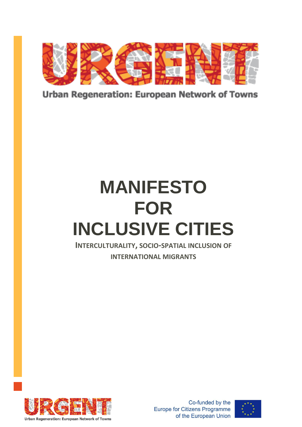

**Urban Regeneration: European Network of Towns** 

# **MANIFESTO FOR INCLUSIVE CITIES**

**INTERCULTURALITY, SOCIO-SPATIAL INCLUSION OF**

**INTERNATIONAL MIGRANTS**



Co-funded by the **Europe for Citizens Programme** of the European Union

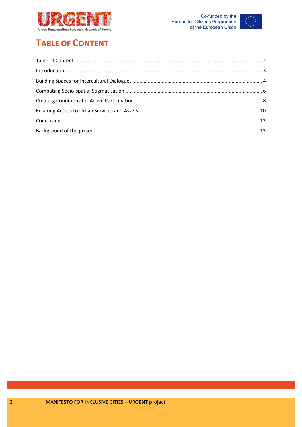



# <span id="page-1-0"></span>**TABLE OF CONTENT**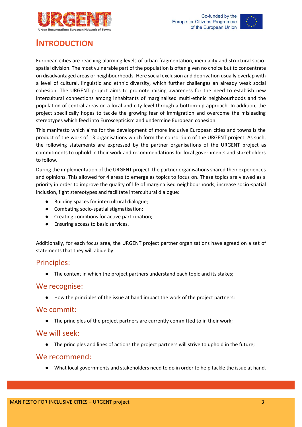



# <span id="page-2-0"></span>**INTRODUCTION**

European cities are reaching alarming levels of urban fragmentation, inequality and structural sociospatial division. The most vulnerable part of the population is often given no choice but to concentrate on disadvantaged areas or neighbourhoods. Here social exclusion and deprivation usually overlap with a level of cultural, linguistic and ethnic diversity, which further challenges an already weak social cohesion. The URGENT project aims to promote raising awareness for the need to establish new intercultural connections among inhabitants of marginalised multi-ethnic neighbourhoods and the population of central areas on a local and city level through a bottom-up approach. In addition, the project specifically hopes to tackle the growing fear of immigration and overcome the misleading stereotypes which feed into Euroscepticism and undermine European cohesion.

This manifesto which aims for the development of more inclusive European cities and towns is the product of the work of 13 organisations which form the consortium of the URGENT project. As such, the following statements are expressed by the partner organisations of the URGENT project as commitments to uphold in their work and recommendations for local governments and stakeholders to follow.

During the implementation of the URGENT project, the partner organisations shared their experiences and opinions. This allowed for 4 areas to emerge as topics to focus on. These topics are viewed as a priority in order to improve the quality of life of marginalised neighbourhoods, increase socio-spatial inclusion, fight stereotypes and facilitate intercultural dialogue:

- Building spaces for intercultural dialogue;
- Combating socio-spatial stigmatisation;
- Creating conditions for active participation;
- Ensuring access to basic services.

Additionally, for each focus area, the URGENT project partner organisations have agreed on a set of statements that they will abide by:

#### Principles:

● The context in which the project partners understand each topic and its stakes;

#### We recognise:

How the principles of the issue at hand impact the work of the project partners;

#### We commit:

● The principles of the project partners are currently committed to in their work;

#### We will seek:

● The principles and lines of actions the project partners will strive to uphold in the future;

#### We recommend:

● What local governments and stakeholders need to do in order to help tackle the issue at hand.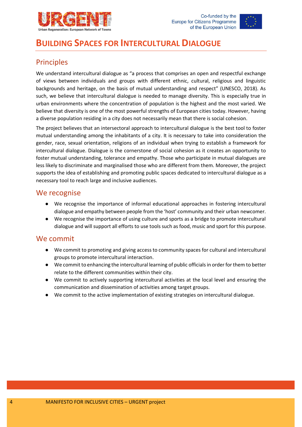



# <span id="page-3-0"></span>**BUILDING SPACES FOR INTERCULTURAL DIALOGUE**

## Principles

We understand intercultural dialogue as "a process that comprises an open and respectful exchange of views between individuals and groups with different ethnic, cultural, religious and linguistic backgrounds and heritage, on the basis of mutual understanding and respect" (UNESCO, 2018). As such, we believe that intercultural dialogue is needed to manage diversity. This is especially true in urban environments where the concentration of population is the highest and the most varied. We believe that diversity is one of the most powerful strengths of European cities today. However, having a diverse population residing in a city does not necessarily mean that there is social cohesion.

The project believes that an intersectoral approach to intercultural dialogue is the best tool to foster mutual understanding among the inhabitants of a city. It is necessary to take into consideration the gender, race, sexual orientation, religions of an individual when trying to establish a framework for intercultural dialogue. Dialogue is the cornerstone of social cohesion as it creates an opportunity to foster mutual understanding, tolerance and empathy. Those who participate in mutual dialogues are less likely to discriminate and marginalised those who are different from them. Moreover, the project supports the idea of establishing and promoting public spaces dedicated to intercultural dialogue as a necessary tool to reach large and inclusive audiences.

#### We recognise

- We recognise the importance of informal educational approaches in fostering intercultural dialogue and empathy between people from the 'host' community and their urban newcomer.
- We recognise the importance of using culture and sports as a bridge to promote intercultural dialogue and will support all efforts to use tools such as food, music and sport for this purpose.

## We commit

- We commit to promoting and giving access to community spaces for cultural and intercultural groups to promote intercultural interaction.
- We commit to enhancing the intercultural learning of public officials in order for them to better relate to the different communities within their city.
- We commit to actively supporting intercultural activities at the local level and ensuring the communication and dissemination of activities among target groups.
- We commit to the active implementation of existing strategies on intercultural dialogue.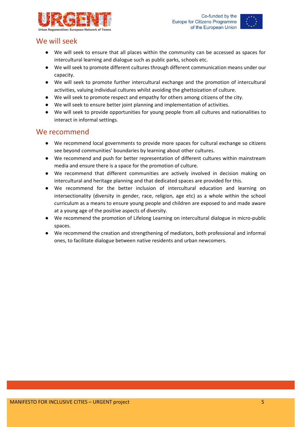



## We will seek

- We will seek to ensure that all places within the community can be accessed as spaces for intercultural learning and dialogue such as public parks, schools etc.
- We will seek to promote different cultures through different communication means under our capacity.
- We will seek to promote further intercultural exchange and the promotion of intercultural activities, valuing individual cultures whilst avoiding the ghettoization of culture.
- We will seek to promote respect and empathy for others among citizens of the city.
- We will seek to ensure better joint planning and implementation of activities.
- We will seek to provide opportunities for young people from all cultures and nationalities to interact in informal settings.

- We recommend local governments to provide more spaces for cultural exchange so citizens see beyond communities' boundaries by learning about other cultures.
- We recommend and push for better representation of different cultures within mainstream media and ensure there is a space for the promotion of culture.
- We recommend that different communities are actively involved in decision making on intercultural and heritage planning and that dedicated spaces are provided for this.
- We recommend for the better inclusion of intercultural education and learning on intersectionality (diversity in gender, race, religion, age etc) as a whole within the school curriculum as a means to ensure young people and children are exposed to and made aware at a young age of the positive aspects of diversity.
- We recommend the promotion of Lifelong Learning on intercultural dialogue in micro-public spaces.
- We recommend the creation and strengthening of mediators, both professional and informal ones, to facilitate dialogue between native residents and urban newcomers.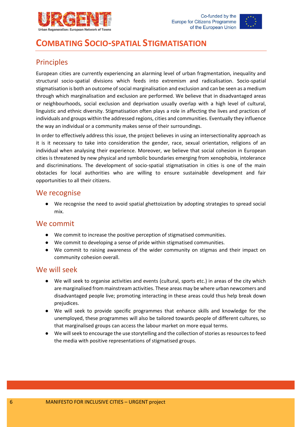



# <span id="page-5-0"></span>**COMBATING SOCIO-SPATIAL STIGMATISATION**

# Principles

European cities are currently experiencing an alarming level of urban fragmentation, inequality and structural socio-spatial divisions which feeds into extremism and radicalisation. Socio-spatial stigmatisation is both an outcome of social marginalisation and exclusion and can be seen as a medium through which marginalisation and exclusion are performed. We believe that in disadvantaged areas or neighbourhoods, social exclusion and deprivation usually overlap with a high level of cultural, linguistic and ethnic diversity. Stigmatisation often plays a role in affecting the lives and practices of individuals and groups within the addressed regions, cities and communities. Eventually they influence the way an individual or a community makes sense of their surroundings.

In order to effectively address this issue, the project believes in using an intersectionality approach as it is it necessary to take into consideration the gender, race, sexual orientation, religions of an individual when analysing their experience. Moreover, we believe that social cohesion in European cities is threatened by new physical and symbolic boundaries emerging from xenophobia, intolerance and discriminations. The development of socio-spatial stigmatisation in cities is one of the main obstacles for local authorities who are willing to ensure sustainable development and fair opportunities to all their citizens.

#### We recognise

● We recognise the need to avoid spatial ghettoization by adopting strategies to spread social mix.

#### We commit

- We commit to increase the positive perception of stigmatised communities.
- We commit to developing a sense of pride within stigmatised communities.
- We commit to raising awareness of the wider community on stigmas and their impact on community cohesion overall.

#### We will seek

- We will seek to organise activities and events (cultural, sports etc.) in areas of the city which are marginalised from mainstream activities. These areas may be where urban newcomers and disadvantaged people live; promoting interacting in these areas could thus help break down prejudices.
- We will seek to provide specific programmes that enhance skills and knowledge for the unemployed, these programmes will also be tailored towards people of different cultures, so that marginalised groups can access the labour market on more equal terms.
- We will seek to encourage the use storytelling and the collection of stories as resources to feed the media with positive representations of stigmatised groups.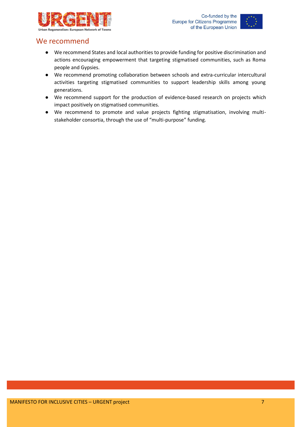



- We recommend States and local authorities to provide funding for positive discrimination and actions encouraging empowerment that targeting stigmatised communities, such as Roma people and Gypsies.
- We recommend promoting collaboration between schools and extra-curricular intercultural activities targeting stigmatised communities to support leadership skills among young generations.
- We recommend support for the production of evidence-based research on projects which impact positively on stigmatised communities.
- We recommend to promote and value projects fighting stigmatisation, involving multistakeholder consortia, through the use of "multi-purpose" funding.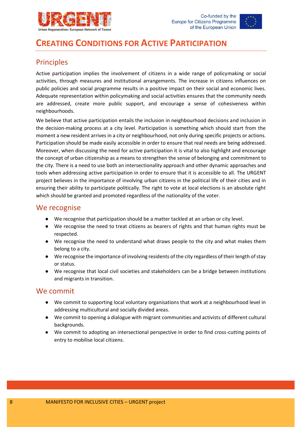



# <span id="page-7-0"></span>**CREATING CONDITIONS FOR ACTIVE PARTICIPATION**

# Principles

Active participation implies the involvement of citizens in a wide range of policymaking or social activities, through measures and institutional arrangements. The increase in citizens influences on public policies and social programme results in a positive impact on their social and economic lives. Adequate representation within policymaking and social activities ensures that the community needs are addressed, create more public support, and encourage a sense of cohesiveness within neighbourhoods.

We believe that active participation entails the inclusion in neighbourhood decisions and inclusion in the decision-making process at a city level. Participation is something which should start from the moment a new resident arrives in a city or neighbourhood, not only during specific projects or actions. Participation should be made easily accessible in order to ensure that real needs are being addressed. Moreover, when discussing the need for active participation it is vital to also highlight and encourage the concept of urban citizenship as a means to strengthen the sense of belonging and commitment to the city. There is a need to use both an intersectionality approach and other dynamic approaches and tools when addressing active participation in order to ensure that it is accessible to all. The URGENT project believes in the importance of involving urban citizens in the political life of their cities and in ensuring their ability to participate politically. The right to vote at local elections is an absolute right which should be granted and promoted regardless of the nationality of the voter.

#### We recognise

- We recognise that participation should be a matter tackled at an urban or city level.
- We recognise the need to treat citizens as bearers of rights and that human rights must be respected.
- We recognise the need to understand what draws people to the city and what makes them belong to a city.
- We recognise the importance of involving residents of the city regardless of their length of stay or status.
- We recognise that local civil societies and stakeholders can be a bridge between institutions and migrants in transition.

## We commit

- We commit to supporting local voluntary organisations that work at a neighbourhood level in addressing multicultural and socially divided areas.
- We commit to opening a dialogue with migrant communities and activists of different cultural backgrounds.
- We commit to adopting an intersectional perspective in order to find cross-cutting points of entry to mobilise local citizens.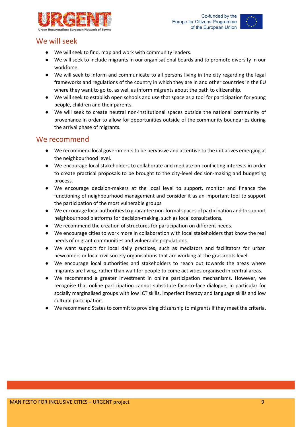



## We will seek

- We will seek to find, map and work with community leaders.
- We will seek to include migrants in our organisational boards and to promote diversity in our workforce.
- We will seek to inform and communicate to all persons living in the city regarding the legal frameworks and regulations of the country in which they are in and other countries in the EU where they want to go to, as well as inform migrants about the path to citizenship.
- We will seek to establish open schools and use that space as a tool for participation for young people, children and their parents.
- We will seek to create neutral non-institutional spaces outside the national community of provenance in order to allow for opportunities outside of the community boundaries during the arrival phase of migrants.

- We recommend local governments to be pervasive and attentive to the initiatives emerging at the neighbourhood level.
- We encourage local stakeholders to collaborate and mediate on conflicting interests in order to create practical proposals to be brought to the city-level decision-making and budgeting process.
- We encourage decision-makers at the local level to support, monitor and finance the functioning of neighbourhood management and consider it as an important tool to support the participation of the most vulnerable groups
- We encourage local authorities to guarantee non-formal spaces of participation and to support neighbourhood platforms for decision-making, such as local consultations.
- We recommend the creation of structures for participation on different needs.
- We encourage cities to work more in collaboration with local stakeholders that know the real needs of migrant communities and vulnerable populations.
- We want support for local daily practices, such as mediators and facilitators for urban newcomers or local civil society organisations that are working at the grassroots level.
- We encourage local authorities and stakeholders to reach out towards the areas where migrants are living, rather than wait for people to come activities organised in central areas.
- We recommend a greater investment in online participation mechanisms. However, we recognise that online participation cannot substitute face-to-face dialogue, in particular for socially marginalised groups with low ICT skills, imperfect literacy and language skills and low cultural participation.
- We recommend States to commit to providing citizenship to migrants if they meet the criteria.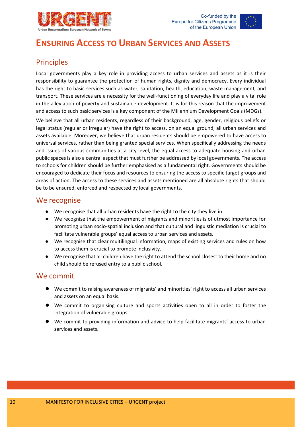



# <span id="page-9-0"></span>**ENSURING ACCESS TO URBAN SERVICES AND ASSETS**

# Principles

Local governments play a key role in providing access to urban services and assets as it is their responsibility to guarantee the protection of human rights, dignity and democracy. Every individual has the right to basic services such as water, sanitation, health, education, waste management, and transport. These services are a necessity for the well-functioning of everyday life and play a vital role in the alleviation of poverty and sustainable development. It is for this reason that the improvement and access to such basic services is a key component of the Millennium Development Goals (MDGs).

We believe that all urban residents, regardless of their background, age, gender, religious beliefs or legal status (regular or irregular) have the right to access, on an equal ground, all urban services and assets available. Moreover, we believe that urban residents should be empowered to have access to universal services, rather than being granted special services. When specifically addressing the needs and issues of various communities at a city level, the equal access to adequate housing and urban public spaces is also a central aspect that must further be addressed by local governments. The access to schools for children should be further emphasised as a fundamental right. Governments should be encouraged to dedicate their focus and resources to ensuring the access to specific target groups and areas of action. The access to these services and assets mentioned are all absolute rights that should be to be ensured, enforced and respected by local governments.

## We recognise

- We recognise that all urban residents have the right to the city they live in.
- We recognise that the empowerment of migrants and minorities is of utmost importance for promoting urban socio-spatial inclusion and that cultural and linguistic mediation is crucial to facilitate vulnerable groups' equal access to urban services and assets.
- We recognise that clear multilingual information, maps of existing services and rules on how to access them is crucial to promote inclusivity.
- We recognise that all children have the right to attend the school closest to their home and no child should be refused entry to a public school.

## We commit

- We commit to raising awareness of migrants' and minorities' right to access all urban services and assets on an equal basis.
- We commit to organising culture and sports activities open to all in order to foster the integration of vulnerable groups.
- We commit to providing information and advice to help facilitate migrants' access to urban services and assets.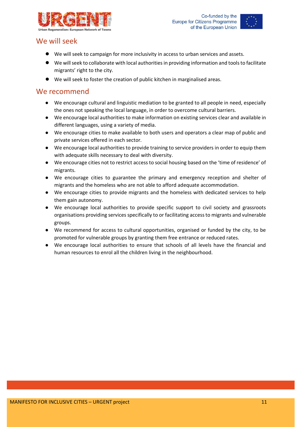



## We will seek

- We will seek to campaign for more inclusivity in access to urban services and assets.
- We will seek to collaborate with local authorities in providing information and tools to facilitate migrants' right to the city.
- We will seek to foster the creation of public kitchen in marginalised areas.

- We encourage cultural and linguistic mediation to be granted to all people in need, especially the ones not speaking the local language, in order to overcome cultural barriers.
- We encourage local authorities to make information on existing services clear and available in different languages, using a variety of media.
- We encourage cities to make available to both users and operators a clear map of public and private services offered in each sector.
- We encourage local authorities to provide training to service providers in order to equip them with adequate skills necessary to deal with diversity.
- We encourage cities not to restrict access to social housing based on the 'time of residence' of migrants.
- We encourage cities to guarantee the primary and emergency reception and shelter of migrants and the homeless who are not able to afford adequate accommodation.
- We encourage cities to provide migrants and the homeless with dedicated services to help them gain autonomy.
- We encourage local authorities to provide specific support to civil society and grassroots organisations providing services specifically to or facilitating access to migrants and vulnerable groups.
- We recommend for access to cultural opportunities, organised or funded by the city, to be promoted for vulnerable groups by granting them free entrance or reduced rates.
- We encourage local authorities to ensure that schools of all levels have the financial and human resources to enrol all the children living in the neighbourhood.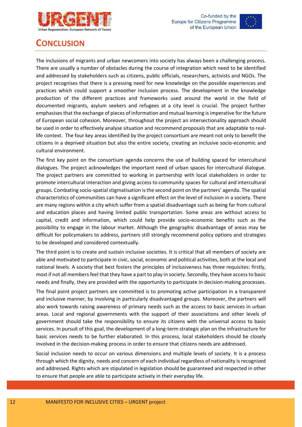



# <span id="page-11-0"></span>**CONCLUSION**

The inclusions of migrants and urban newcomers into society has always been a challenging process. There are usually a number of obstacles during the course of integration which need to be identified and addressed by stakeholders such as citizens, public officials, researchers, activists and NGOs. The project recognises that there is a pressing need for new knowledge on the possible experiences and practices which could support a smoother inclusion process. The development in the knowledge production of the different practices and frameworks used around the world in the field of documented migrants, asylum seekers and refugees at a city level is crucial. The project further emphasisesthat the exchange of pieces of information and mutual learning is imperative for the future of European social cohesion. Moreover, throughout the project an intersectionality approach should be used in order to effectively analyse situation and recommend proposals that are adaptable to reallife context. The four key areas identified by the project consortium are meant not only to benefit the citizens in a deprived situation but also the entire society, creating an inclusive socio-economic and cultural environment.

The first key point on the consortium agenda concerns the use of building spaced for intercultural dialogues. The project acknowledges the important need of urban spaces for intercultural dialogue. The project partners are committed to working in partnership with local stakeholders in order to promote intercultural interaction and giving access to community spaces for cultural and intercultural groups. Combating socio-spatial stigmatisation is the second point on the partners' agenda. The spatial characteristics of communities can have a significant effect on the level of inclusion in a society. There are many regions within a city which suffer from a spatial disadvantage such as being far from cultural and education places and having limited public transportation. Some areas are without access to capital, credit and information, which could help provide socio-economic benefits such as the possibility to engage in the labour market. Although the geographic disadvantage of areas may be difficult for policymakers to address, partners still strongly recommend policy options and strategies to be developed and considered contextually.

The third point is to create and sustain inclusive societies. It is critical that all members of society are able and motivated to participate in civic, social, economic and political activities, both at the local and national levels. A society that best fosters the principles of inclusiveness has three requisites: firstly, most if not all members feel that they have a part to play in society. Secondly, they have access to basic needs and finally, they are provided with the opportunity to participate in decision-making processes.

The final point project partners are committed is to promoting active participation in a transparent and inclusive manner, by involving in particularly disadvantaged groups. Moreover, the partners will also work towards raising awareness of primary needs such as the access to basic services in urban areas. Local and regional governments with the support of their associations and other levels of government should take the responsibility to ensure its citizens with the universal access to basic services. In pursuit of this goal, the development of a long-term strategic plan on the infrastructure for basic services needs to be further elaborated. In this process, local stakeholders should be closely involved in the decision-making process in order to ensure that citizens needs are addressed.

Social inclusion needs to occur on various dimensions and multiple levels of society. It is a process through which the dignity, needs and concern of each individual regardless of nationality is recognized and addressed. Rights which are stipulated in legislation should be guaranteed and respected in other to ensure that people are able to participate actively in their everyday life.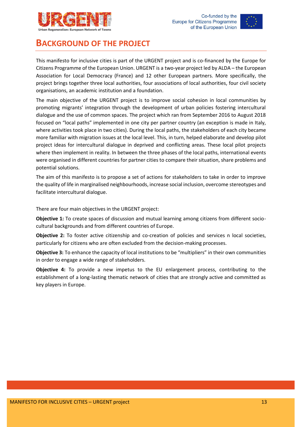



# <span id="page-12-0"></span>**BACKGROUND OF THE PROJECT**

This manifesto for inclusive cities is part of the URGENT project and is co-financed by the Europe for Citizens Programme of the European Union. URGENT is a two-year project led by ALDA – the European Association for Local Democracy (France) and 12 other European partners. More specifically, the project brings together three local authorities, four associations of local authorities, four civil society organisations, an academic institution and a foundation.

The main objective of the URGENT project is to improve social cohesion in local communities by promoting migrants' integration through the development of urban policies fostering intercultural dialogue and the use of common spaces. The project which ran from September 2016 to August 2018 focused on "local paths" implemented in one city per partner country (an exception is made in Italy, where activities took place in two cities). During the local paths, the stakeholders of each city became more familiar with migration issues at the local level. This, in turn, helped elaborate and develop pilot project ideas for intercultural dialogue in deprived and conflicting areas. These local pilot projects where then implement in reality. In between the three phases of the local paths, international events were organised in different countries for partner cities to compare their situation, share problems and potential solutions.

The aim of this manifesto is to propose a set of actions for stakeholders to take in order to improve the quality of life in marginalised neighbourhoods, increase social inclusion, overcome stereotypes and facilitate intercultural dialogue.

There are four main objectives in the URGENT project:

**Objective 1:** To create spaces of discussion and mutual learning among citizens from different sociocultural backgrounds and from different countries of Europe.

**Objective 2:** To foster active citizenship and co-creation of policies and services n local societies, particularly for citizens who are often excluded from the decision-making processes.

**Objective 3:** To enhance the capacity of local institutions to be "multipliers" in their own communities in order to engage a wide range of stakeholders.

**Objective 4:** To provide a new impetus to the EU enlargement process, contributing to the establishment of a long-lasting thematic network of cities that are strongly active and committed as key players in Europe.